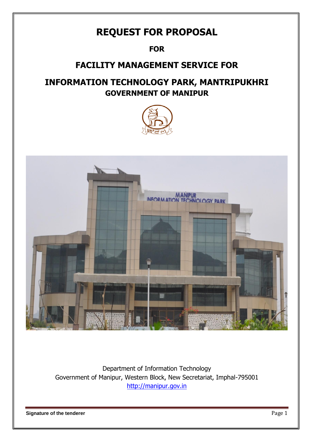# **REQUEST FOR PROPOSAL**

## **FOR**

## **FACILITY MANAGEMENT SERVICE FOR**

## **INFORMATION TECHNOLOGY PARK, MANTRIPUKHRI GOVERNMENT OF MANIPUR**





Department of Information Technology Government of Manipur, Western Block, New Secretariat, Imphal-795001 [http://manipur.gov.in](http://manipur.gov.in/)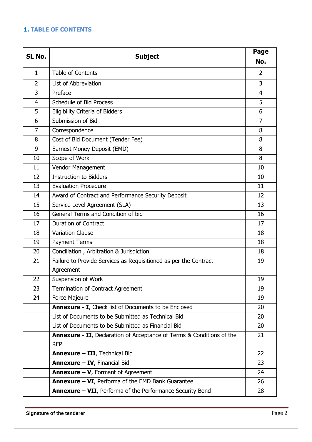## **1. TABLE OF CONTENTS**

| SL No.         | <b>Subject</b>                                                                |                |  |  |  |
|----------------|-------------------------------------------------------------------------------|----------------|--|--|--|
|                |                                                                               |                |  |  |  |
| $\mathbf{1}$   | <b>Table of Contents</b>                                                      | $\overline{2}$ |  |  |  |
| $\overline{2}$ | List of Abbreviation                                                          | 3              |  |  |  |
| 3              | Preface                                                                       | $\overline{4}$ |  |  |  |
| $\overline{4}$ | Schedule of Bid Process                                                       | 5              |  |  |  |
| 5              | <b>Eligibility Criteria of Bidders</b>                                        | 6              |  |  |  |
| 6              | Submission of Bid                                                             | $\overline{7}$ |  |  |  |
| 7              | Correspondence                                                                | 8              |  |  |  |
| 8              | Cost of Bid Document (Tender Fee)                                             | 8              |  |  |  |
| 9              | Earnest Money Deposit (EMD)                                                   | 8              |  |  |  |
| 10             | Scope of Work                                                                 | 8              |  |  |  |
| 11             | Vendor Management                                                             | 10             |  |  |  |
| 12             | <b>Instruction to Bidders</b>                                                 | 10             |  |  |  |
| 13             | <b>Evaluation Procedure</b>                                                   | 11             |  |  |  |
| 14             | Award of Contract and Performance Security Deposit                            | 12             |  |  |  |
| 15             | Service Level Agreement (SLA)                                                 | 13             |  |  |  |
| 16             | General Terms and Condition of bid                                            | 16             |  |  |  |
| 17             | <b>Duration of Contract</b>                                                   | 17             |  |  |  |
| 18             | <b>Variation Clause</b>                                                       | 18             |  |  |  |
| 19             | <b>Payment Terms</b>                                                          | 18             |  |  |  |
| 20             | Conciliation, Arbitration & Jurisdiction                                      | 18             |  |  |  |
| 21             | Failure to Provide Services as Requisitioned as per the Contract              | 19             |  |  |  |
|                | Agreement                                                                     |                |  |  |  |
| 22             | <b>Suspension of Work</b>                                                     | 19             |  |  |  |
| 23             | Termination of Contract Agreement                                             | 19             |  |  |  |
| 24             | Force Majeure                                                                 | 19             |  |  |  |
|                | <b>Annexure - I</b> , Check list of Documents to be Enclosed                  | 20             |  |  |  |
|                | List of Documents to be Submitted as Technical Bid                            | 20             |  |  |  |
|                | List of Documents to be Submitted as Financial Bid                            | 20             |  |  |  |
|                | <b>Annexure - II</b> , Declaration of Acceptance of Terms & Conditions of the | 21             |  |  |  |
|                | <b>RFP</b>                                                                    |                |  |  |  |
|                | <b>Annexure - III</b> , Technical Bid                                         |                |  |  |  |
|                | <b>Annexure - IV, Financial Bid</b>                                           |                |  |  |  |
|                | <b>Annexure - V, Formant of Agreement</b>                                     | 24             |  |  |  |
|                | <b>Annexure - VI, Performa of the EMD Bank Guarantee</b>                      |                |  |  |  |
|                | <b>Annexure - VII</b> , Performa of the Performance Security Bond             |                |  |  |  |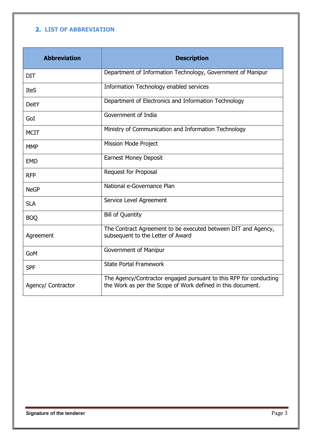## **2. LIST OF ABBREVIATION**

| <b>Abbreviation</b> | <b>Description</b>                                                                                                               |
|---------------------|----------------------------------------------------------------------------------------------------------------------------------|
| <b>DIT</b>          | Department of Information Technology, Government of Manipur                                                                      |
| <b>IteS</b>         | Information Technology enabled services                                                                                          |
| DeitY               | Department of Electronics and Information Technology                                                                             |
| GoI                 | Government of India                                                                                                              |
| <b>MCIT</b>         | Ministry of Communication and Information Technology                                                                             |
| <b>MMP</b>          | <b>Mission Mode Project</b>                                                                                                      |
| <b>EMD</b>          | <b>Earnest Money Deposit</b>                                                                                                     |
| <b>RFP</b>          | Request for Proposal                                                                                                             |
| <b>NeGP</b>         | National e-Governance Plan                                                                                                       |
| <b>SLA</b>          | Service Level Agreement                                                                                                          |
| <b>BOQ</b>          | <b>Bill of Quantity</b>                                                                                                          |
| Agreement           | The Contract Agreement to be executed between DIT and Agency,<br>subsequent to the Letter of Award                               |
| GoM                 | Government of Manipur                                                                                                            |
| <b>SPF</b>          | <b>State Portal Framework</b>                                                                                                    |
| Agency/ Contractor  | The Agency/Contractor engaged pursuant to this RFP for conducting<br>the Work as per the Scope of Work defined in this document. |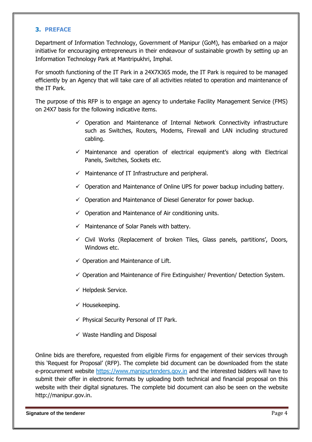#### **3. PREFACE**

Department of Information Technology, Government of Manipur (GoM), has embarked on a major initiative for encouraging entrepreneurs in their endeavour of sustainable growth by setting up an Information Technology Park at Mantripukhri, Imphal.

For smooth functioning of the IT Park in a 24X7X365 mode, the IT Park is required to be managed efficiently by an Agency that will take care of all activities related to operation and maintenance of the IT Park.

The purpose of this RFP is to engage an agency to undertake Facility Management Service (FMS) on 24X7 basis for the following indicative items.

- $\checkmark$  Operation and Maintenance of Internal Network Connectivity infrastructure such as Switches, Routers, Modems, Firewall and LAN including structured cabling.
- $\checkmark$  Maintenance and operation of electrical equipment's along with Electrical Panels, Switches, Sockets etc.
- $\checkmark$  Maintenance of IT Infrastructure and peripheral.
- $\checkmark$  Operation and Maintenance of Online UPS for power backup including battery.
- $\checkmark$  Operation and Maintenance of Diesel Generator for power backup.
- $\checkmark$  Operation and Maintenance of Air conditioning units.
- $\checkmark$  Maintenance of Solar Panels with battery.
- $\checkmark$  Civil Works (Replacement of broken Tiles, Glass panels, partitions', Doors, Windows etc.
- $\checkmark$  Operation and Maintenance of Lift.
- $\checkmark$  Operation and Maintenance of Fire Extinguisher/ Prevention/ Detection System.
- $\checkmark$  Helpdesk Service.
- $\checkmark$  Housekeeping.
- $\checkmark$  Physical Security Personal of IT Park.
- $\checkmark$  Waste Handling and Disposal

Online bids are therefore, requested from eligible Firms for engagement of their services through this 'Request for Proposal' (RFP). The complete bid document can be downloaded from the state e-procurement website https://www.manipurtenders.gov.in and the interested bidders will have to submit their offer in electronic formats by uploading both technical and financial proposal on this website with their digital signatures. The complete bid document can also be seen on the website [http://manipur.gov.in.](http://manipur.gov.in/)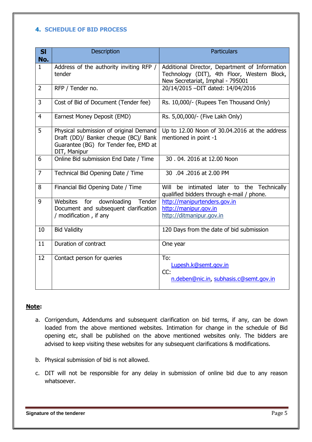#### **4. SCHEDULE OF BID PROCESS**

| SI<br>No.      | <b>Description</b>                                                                                                                      | <b>Particulars</b>                                                                                                                |
|----------------|-----------------------------------------------------------------------------------------------------------------------------------------|-----------------------------------------------------------------------------------------------------------------------------------|
| $\mathbf{1}$   | Address of the authority inviting RFP /<br>tender                                                                                       | Additional Director, Department of Information<br>Technology (DIT), 4th Floor, Western Block,<br>New Secretariat, Imphal - 795001 |
| $\overline{2}$ | RFP / Tender no.                                                                                                                        | 20/14/2015 -DIT dated: 14/04/2016                                                                                                 |
| 3              | Cost of Bid of Document (Tender fee)                                                                                                    | Rs. 10,000/- (Rupees Ten Thousand Only)                                                                                           |
| $\overline{4}$ | Earnest Money Deposit (EMD)                                                                                                             | Rs. 5,00,000/- (Five Lakh Only)                                                                                                   |
| 5              | Physical submission of original Demand<br>Draft (DD)/ Banker cheque (BC)/ Bank<br>Guarantee (BG) for Tender fee, EMD at<br>DIT, Manipur | Up to 12.00 Noon of 30.04.2016 at the address<br>mentioned in point -1                                                            |
| 6              | Online Bid submission End Date / Time                                                                                                   | 30.04.2016 at 12.00 Noon                                                                                                          |
| $\overline{7}$ | Technical Bid Opening Date / Time                                                                                                       | 30 .04 .2016 at 2.00 PM                                                                                                           |
| 8              | Financial Bid Opening Date / Time                                                                                                       | Will be intimated later to the Technically<br>qualified bidders through e-mail / phone.                                           |
| 9              | for<br>downloading<br>Websites<br>Tender<br>Document and subsequent clarification<br>/ modification, if any                             | http://manipurtenders.gov.in<br>http://manipur.gov.in<br>http://ditmanipur.gov.in                                                 |
| 10             | <b>Bid Validity</b>                                                                                                                     | 120 Days from the date of bid submission                                                                                          |
| 11             | Duration of contract                                                                                                                    | One year                                                                                                                          |
| 12             | Contact person for queries                                                                                                              | To:<br>Lupesh.k@semt.gov.in<br>CC:<br>n.deben@nic.in, subhasis.c@semt.gov.in                                                      |

#### **Note:**

- a. Corrigendum, Addendums and subsequent clarification on bid terms, if any, can be down loaded from the above mentioned websites. Intimation for change in the schedule of Bid opening etc, shall be published on the above mentioned websites only. The bidders are advised to keep visiting these websites for any subsequent clarifications & modifications.
- b. Physical submission of bid is not allowed.
- c. DIT will not be responsible for any delay in submission of online bid due to any reason whatsoever.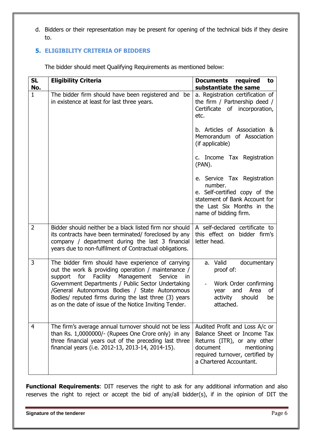d. Bidders or their representation may be present for opening of the technical bids if they desire to.

## **5. ELIGIBILITY CRITERIA OF BIDDERS**

The bidder should meet Qualifying Requirements as mentioned below:

| <b>SL</b><br>No. | <b>Eligibility Criteria</b>                                                                                                                                                                                                                                                                                                                                                                      | <b>Documents</b><br>required<br>to<br>substantiate the same                                                                                                                          |
|------------------|--------------------------------------------------------------------------------------------------------------------------------------------------------------------------------------------------------------------------------------------------------------------------------------------------------------------------------------------------------------------------------------------------|--------------------------------------------------------------------------------------------------------------------------------------------------------------------------------------|
| $\mathbf{1}$     | The bidder firm should have been registered and<br>be<br>in existence at least for last three years.                                                                                                                                                                                                                                                                                             | a. Registration certification of<br>the firm / Partnership deed /<br>Certificate of incorporation,<br>etc.                                                                           |
|                  |                                                                                                                                                                                                                                                                                                                                                                                                  | b. Articles of Association &<br>Memorandum of Association<br>(if applicable)                                                                                                         |
|                  |                                                                                                                                                                                                                                                                                                                                                                                                  | c. Income Tax Registration<br>(PAN).                                                                                                                                                 |
|                  |                                                                                                                                                                                                                                                                                                                                                                                                  | e. Service Tax Registration<br>number.<br>e. Self-certified copy of the<br>statement of Bank Account for<br>the Last Six Months in the<br>name of bidding firm.                      |
| $\overline{2}$   | Bidder should neither be a black listed firm nor should<br>its contracts have been terminated/ foreclosed by any<br>company / department during the last 3 financial<br>years due to non-fulfilment of Contractual obligations.                                                                                                                                                                  | A self-declared certificate to<br>this effect on bidder firm's<br>letter head.                                                                                                       |
| 3                | The bidder firm should have experience of carrying<br>out the work & providing operation / maintenance /<br>Facility<br>support<br>for<br>Management<br>Service<br>in.<br>Government Departments / Public Sector Undertaking<br>/General Autonomous Bodies / State Autonomous<br>Bodies/ reputed firms during the last three (3) years<br>as on the date of issue of the Notice Inviting Tender. | a. Valid<br>documentary<br>proof of:<br>Work Order confirming<br>Area<br>οf<br>year<br>and<br>activity<br>should<br>be<br>attached.                                                  |
| 4                | The firm's average annual turnover should not be less<br>than Rs. 1,0000000/- (Rupees One Crore only) in any<br>three financial years out of the preceding last three<br>financial years (i.e. 2012-13, 2013-14, 2014-15).                                                                                                                                                                       | Audited Profit and Loss A/c or<br>Balance Sheet or Income Tax<br>Returns (ITR), or any other<br>document<br>mentioning<br>required turnover, certified by<br>a Chartered Accountant. |

**Functional Requirements**: DIT reserves the right to ask for any additional information and also reserves the right to reject or accept the bid of any/all bidder(s), if in the opinion of DIT the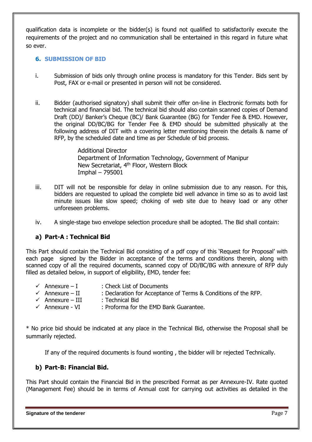qualification data is incomplete or the bidder(s) is found not qualified to satisfactorily execute the requirements of the project and no communication shall be entertained in this regard in future what so ever.

#### **6. SUBMISSION OF BID**

- i. Submission of bids only through online process is mandatory for this Tender. Bids sent by Post, FAX or e-mail or presented in person will not be considered.
- ii. Bidder (authorised signatory) shall submit their offer on-line in Electronic formats both for technical and financial bid. The technical bid should also contain scanned copies of Demand Draft (DD)/ Banker's Cheque (BC)/ Bank Guarantee (BG) for Tender Fee & EMD. However, the original DD/BC/BG for Tender Fee & EMD should be submitted physically at the following address of DIT with a covering letter mentioning therein the details & name of RFP, by the scheduled date and time as per Schedule of bid process.

Additional Director Department of Information Technology, Government of Manipur New Secretariat, 4<sup>th</sup> Floor, Western Block Imphal – 795001

- iii. DIT will not be responsible for delay in online submission due to any reason. For this, bidders are requested to upload the complete bid well advance in time so as to avoid last minute issues like slow speed; choking of web site due to heavy load or any other unforeseen problems.
- iv. A single-stage two envelope selection procedure shall be adopted. The Bid shall contain:

### **a) Part-A : Technical Bid**

This Part should contain the Technical Bid consisting of a pdf copy of this 'Request for Proposal' with each page signed by the Bidder in acceptance of the terms and conditions therein, along with scanned copy of all the required documents, scanned copy of DD/BC/BG with annexure of RFP duly filled as detailed below, in support of eligibility, EMD, tender fee:

- $\checkmark$  Annexure I : Check List of Documents
- $\checkmark$  Annexure II : Declaration for Acceptance of Terms & Conditions of the RFP.
- $\checkmark$  Annexure III : Technical Bid
- $\checkmark$  Annexure VI : Proforma for the EMD Bank Guarantee.

\* No price bid should be indicated at any place in the Technical Bid, otherwise the Proposal shall be summarily rejected.

If any of the required documents is found wonting , the bidder will br rejected Technically.

### **b) Part-B: Financial Bid.**

This Part should contain the Financial Bid in the prescribed Format as per Annexure-IV. Rate quoted (Management Fee) should be in terms of Annual cost for carrying out activities as detailed in the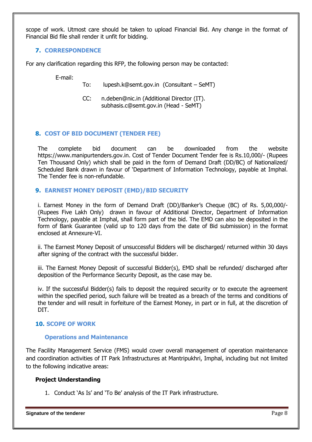scope of work. Utmost care should be taken to upload Financial Bid. Any change in the format of Financial Bid file shall render it unfit for bidding.

### **7. CORRESPONDENCE**

For any clarification regarding this RFP, the following person may be contacted:

E-mail:

To: [lupesh.k@semt.gov.in](mailto:lupesh.k@semt.gov.in) (Consultant – SeMT)

CC: [n.deben@nic.in](mailto:n.deben@nic.in) (Additional Director (IT). subhasis.c@semt.gov.in (Head - SeMT)

## **8. COST OF BID DOCUMENT (TENDER FEE)**

The complete bid document can be downloaded from the website https://www.manipurtenders.gov.in. Cost of Tender Document Tender fee is Rs.10,000/- (Rupees Ten Thousand Only) which shall be paid in the form of Demand Draft (DD/BC) of Nationalized/ Scheduled Bank drawn in favour of 'Department of Information Technology, payable at Imphal. The Tender fee is non-refundable.

### **9. EARNEST MONEY DEPOSIT (EMD)/BID SECURITY**

i. Earnest Money in the form of Demand Draft (DD)/Banker's Cheque (BC) of Rs. 5,00,000/- (Rupees Five Lakh Only) drawn in favour of Additional Director, Department of Information Technology, payable at Imphal, shall form part of the bid. The EMD can also be deposited in the form of Bank Guarantee (valid up to 120 days from the date of Bid submission) in the format enclosed at Annexure-VI.

ii. The Earnest Money Deposit of unsuccessful Bidders will be discharged/ returned within 30 days after signing of the contract with the successful bidder.

iii. The Earnest Money Deposit of successful Bidder(s), EMD shall be refunded/ discharged after deposition of the Performance Security Deposit, as the case may be.

iv. If the successful Bidder(s) fails to deposit the required security or to execute the agreement within the specified period, such failure will be treated as a breach of the terms and conditions of the tender and will result in forfeiture of the Earnest Money, in part or in full, at the discretion of DIT.

### **10. SCOPE OF WORK**

#### **Operations and Maintenance**

The Facility Management Service (FMS) would cover overall management of operation maintenance and coordination activities of IT Park Infrastructures at Mantripukhri, Imphal, including but not limited to the following indicative areas:

### **Project Understanding**

1. Conduct 'As Is' and 'To Be' analysis of the IT Park infrastructure.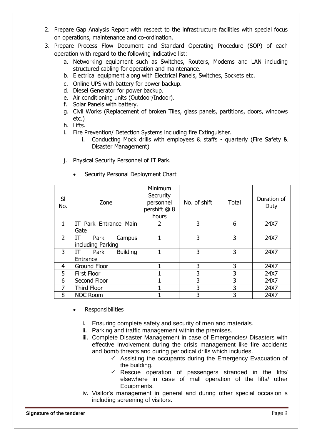- 2. Prepare Gap Analysis Report with respect to the infrastructure facilities with special focus on operations, maintenance and co-ordination.
- 3. Prepare Process Flow Document and Standard Operating Procedure (SOP) of each operation with regard to the following indicative list:
	- a. Networking equipment such as Switches, Routers, Modems and LAN including structured cabling for operation and maintenance.
	- b. Electrical equipment along with Electrical Panels, Switches, Sockets etc.
	- c. Online UPS with battery for power backup.
	- d. Diesel Generator for power backup.
	- e. Air conditioning units (Outdoor/Indoor).
	- f. Solar Panels with battery.
	- g. Civil Works (Replacement of broken Tiles, glass panels, partitions, doors, windows etc.)
	- h. Lifts.
	- i. Fire Prevention/ Detection Systems including fire Extinguisher.
		- i. Conducting Mock drills with employees & staffs quarterly (Fire Safety & Disaster Management)
	- j. Physical Security Personnel of IT Park.

| SI<br>No.      | Zone                           | Minimum<br>Secrurity<br>personnel<br>pershift @ 8<br>hours | No. of shift | <b>Total</b> | Duration of<br>Duty |
|----------------|--------------------------------|------------------------------------------------------------|--------------|--------------|---------------------|
| 1              | IT Park Entrance Main          | 2                                                          | 3            | 6            | 24X7                |
|                | Gate                           |                                                            |              |              |                     |
| $\overline{2}$ | Park<br>IΤ<br>Campus           |                                                            | 3            | 3            | 24X7                |
|                | including Parking              |                                                            |              |              |                     |
| 3              | <b>Building</b><br>Park<br>IT. |                                                            | 3            | 3            | 24X7                |
|                | Entrance                       |                                                            |              |              |                     |
| 4              | <b>Ground Floor</b>            |                                                            | 3            | 3            | 24X7                |
| 5              | <b>First Floor</b>             |                                                            | 3            | 3            | 24X7                |
| 6              | Second Floor                   |                                                            | 3            | 3            | 24X7                |
|                | <b>Third Floor</b>             |                                                            | 3            | 3            | 24X7                |
| 8              | <b>NOC Room</b>                |                                                            | 3            | 3            | 24X7                |

Security Personal Deployment Chart

- **Responsibilities** 
	- i. Ensuring complete safety and security of men and materials.
	- ii. Parking and traffic management within the premises.
	- iii. Complete Disaster Management in case of Emergencies/ Disasters with effective involvement during the crisis management like fire accidents and bomb threats and during periodical drills which includes.
		- $\checkmark$  Assisting the occupants during the Emergency Evacuation of the building.
		- $\checkmark$  Rescue operation of passengers stranded in the lifts/ elsewhere in case of mall operation of the lifts/ other Equipments.
	- iv. Visitor's management in general and during other special occasion s including screening of visitors.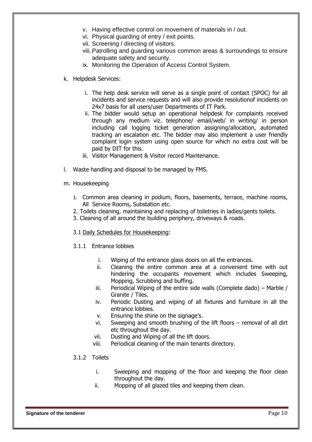- v. Having effective control on movement of materials in / out.
- vi. Physical guarding of entry / exit points.
- vii. Screening / directing of visitors.
- viii.Patrolling and guarding various common areas & surroundings to ensure adequate safety and security.
- ix. Monitoring the Operation of Access Control System.
- k. Helpdesk Services:
	- i. The help desk service will serve as a single point of contact (SPOC) for all incidents and service requests and will also provide resolutionof incidents on 24x7 basis for all users/user Departments of IT Park.
	- ii. The bidder would setup an operational helpdesk for complaints received through any medium viz. telephone/ email/web/ in writing/ in person including call logging ticket generation assigning/allocation, automated tracking an escalation etc. The bidder may also implement a user friendly complaint login system using open source for which no extra cost will be paid by DIT for this.
	- iii. Visitor Management & Visitor record Maintenance.
- l. Waste handling and disposal to be managed by FMS.
- m. Housekeeping
	- 1. Common area cleaning in podium, floors, basements, terrace, machine rooms, All Service Rooms, Substation etc.
	- 2. Toilets cleaning, maintaining and replacing of toiletries in ladies/gents toilets.
	- 3. Cleaning of all around the building periphery, driveways & roads.
	- 3.1 Daily Schedules for Housekeeping:
	- 3.1.1 Entrance lobbies
		- i. Wiping of the entrance glass doors on all the entrances.
		- ii. Cleaning the entire common area at a convenient time with out hindering the occupants movement which includes Sweeping, Mopping, Scrubbing and buffing.
		- iii. Periodical Wiping of the entire side walls (Complete dado) Marble / Granite / Tiles.
		- iv. Periodic Dusting and wiping of all fixtures and furniture in all the entrance lobbies.
		- v. Ensuring the shine on the signage's.
		- vi. Sweeping and smooth brushing of the lift floors removal of all dirt etc throughout the day.
		- vii. Dusting and Wiping of all the lift doors.
		- viii. Periodical cleaning of the main tenants directory.
	- 3.1.2 Toilets
		- i. Sweeping and mopping of the floor and keeping the floor clean throughout the day.
		- ii. Mopping of all glazed tiles and keeping them clean.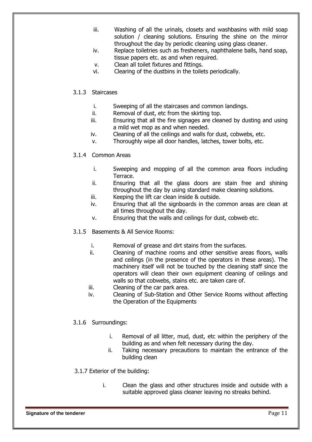- iii. Washing of all the urinals, closets and washbasins with mild soap solution / cleaning solutions. Ensuring the shine on the mirror throughout the day by periodic cleaning using glass cleaner.
- iv. Replace toiletries such as fresheners, naphthalene balls, hand soap, tissue papers etc. as and when required.
- v. Clean all toilet fixtures and fittings.
- vi. Clearing of the dustbins in the toilets periodically.

#### 3.1.3 Staircases

- i. Sweeping of all the staircases and common landings.
- ii. Removal of dust, etc from the skirting top.
- iii. Ensuring that all the fire signages are cleaned by dusting and using a mild wet mop as and when needed.
- iv. Cleaning of all the ceilings and walls for dust, cobwebs, etc.
- v. Thoroughly wipe all door handles, latches, tower bolts, etc.

#### 3.1.4 Common Areas

- i. Sweeping and mopping of all the common area floors including Terrace.
- ii. Ensuring that all the glass doors are stain free and shining throughout the day by using standard make cleaning solutions.
- iii. Keeping the lift car clean inside & outside.
- iv. Ensuring that all the signboards in the common areas are clean at all times throughout the day.
- v. Ensuring that the walls and ceilings for dust, cobweb etc.
- 3.1.5 Basements & All Service Rooms:
	- i. Removal of grease and dirt stains from the surfaces.
	- ii. Cleaning of machine rooms and other sensitive areas floors, walls and ceilings (in the presence of the operators in these areas). The machinery itself will not be touched by the cleaning staff since the operators will clean their own equipment cleaning of ceilings and walls so that cobwebs, stains etc. are taken care of.
	- iii. Cleaning of the car park area.
	- iv. Cleaning of Sub-Station and Other Service Rooms without affecting the Operation of the Equipments

### 3.1.6 Surroundings:

- i. Removal of all litter, mud, dust, etc within the periphery of the building as and when felt necessary during the day.
- ii. Taking necessary precautions to maintain the entrance of the building clean

#### 3.1.7 Exterior of the building:

i. Clean the glass and other structures inside and outside with a suitable approved glass cleaner leaving no streaks behind.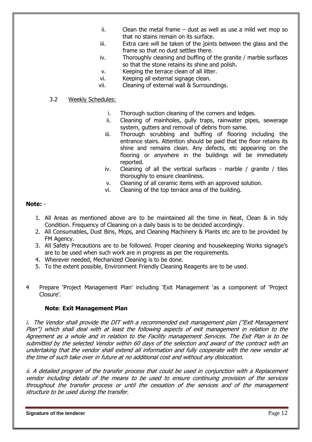- ii. Clean the metal frame dust as well as use a mild wet mop so that no stains remain on its surface.
- iii. Extra care will be taken of the joints between the glass and the frame so that no dust settles there.
- iv. Thoroughly cleaning and buffing of the granite / marble surfaces so that the stone retains its shine and polish.
- v. Keeping the terrace clean of all litter.
- vi. Keeping all external signage clean.
- vii. Cleaning of external wall & Surroundings.

#### 3.2 Weekly Schedules:

- i. Thorough suction cleaning of the corners and ledges.
- ii. Cleaning of mainholes, gully traps, rainwater pipes, sewerage system, gutters and removal of debris from same.
- iii. Thorough scrubbing and buffing of flooring including the entrance stairs. Attention should be paid that the floor retains its shine and remains clean. Any defects, etc appearing on the flooring or anywhere in the buildings will be immediately reported.
- iv. Cleaning of all the vertical surfaces marble / granite / tiles thoroughly to ensure cleanliness.
- v. Cleaning of all ceramic items with an approved solution.
- vi. Cleaning of the top terrace area of the building.

#### **Note:** -

- 1. All Areas as mentioned above are to be maintained all the time in Neat, Clean & in tidy Condition. Frequency of Cleaning on a daily basis is to be decided accordingly.
- 2. All Consumables, Dust Bins, Mops, and Cleaning Machinery & Plants etc are to be provided by FM Agency.
- 3. All Safety Precautions are to be followed. Proper cleaning and housekeeping Works signage's are to be used when such work are in progress as per the requirements.
- 4. Wherever needed, Mechanized Cleaning is to be done.
- 5. To the extent possible, Environment Friendly Cleaning Reagents are to be used.
- 4 Prepare 'Project Management Plan' including 'Exit Management 'as a component of 'Project Closure'.

### **Note**: **Exit Management Plan**

i. The Vendor shall provide the DIT with a recommended exit management plan ("Exit Management Plan") which shall deal with at least the following aspects of exit management in relation to the Agreement as a whole and in relation to the Facility management Services. The Exit Plan is to be submitted by the selected Vendor within 60 days of the selection and award of the contract with an undertaking that the vendor shall extend all information and fully cooperate with the new vendor at the time of such take over in future at no additional cost and without any dislocation.

ii. A detailed program of the transfer process that could be used in conjunction with a Replacement vendor including details of the means to be used to ensure continuing provision of the services throughout the transfer process or until the cessation of the services and of the management structure to be used during the transfer.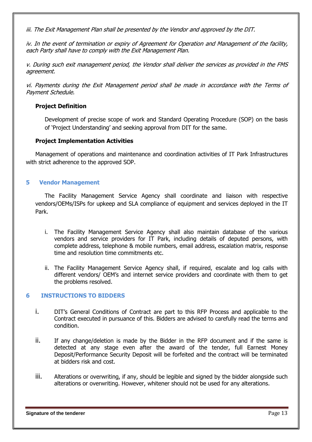iii. The Exit Management Plan shall be presented by the Vendor and approved by the DIT.

iv. In the event of termination or expiry of Agreement for Operation and Management of the facility, each Party shall have to comply with the Exit Management Plan.

v. During such exit management period, the Vendor shall deliver the services as provided in the FMS agreement.

vi. Payments during the Exit Management period shall be made in accordance with the Terms of Payment Schedule.

### **Project Definition**

Development of precise scope of work and Standard Operating Procedure (SOP) on the basis of 'Project Understanding' and seeking approval from DIT for the same.

### **Project Implementation Activities**

Management of operations and maintenance and coordination activities of IT Park Infrastructures with strict adherence to the approved SOP.

### **5 Vendor Management**

The Facility Management Service Agency shall coordinate and liaison with respective vendors/OEMs/ISPs for upkeep and SLA compliance of equipment and services deployed in the IT Park.

- i. The Facility Management Service Agency shall also maintain database of the various vendors and service providers for IT Park, including details of deputed persons, with complete address, telephone & mobile numbers, email address, escalation matrix, response time and resolution time commitments etc.
- ii. The Facility Management Service Agency shall, if required, escalate and log calls with different vendors/ OEM's and internet service providers and coordinate with them to get the problems resolved.

### **6 INSTRUCTIONS TO BIDDERS**

- i. DIT's General Conditions of Contract are part to this RFP Process and applicable to the Contract executed in pursuance of this. Bidders are advised to carefully read the terms and condition.
- ii. If any change/deletion is made by the Bidder in the RFP document and if the same is detected at any stage even after the award of the tender, full Earnest Money Deposit/Performance Security Deposit will be forfeited and the contract will be terminated at bidders risk and cost.
- iii. Alterations or overwriting, if any, should be legible and signed by the bidder alongside such alterations or overwriting. However, whitener should not be used for any alterations.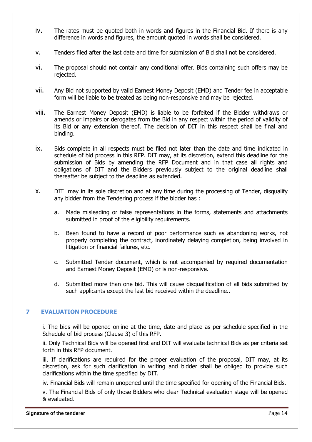- iv. The rates must be quoted both in words and figures in the Financial Bid. If there is any difference in words and figures, the amount quoted in words shall be considered.
- v. Tenders filed after the last date and time for submission of Bid shall not be considered.
- vi. The proposal should not contain any conditional offer. Bids containing such offers may be rejected.
- vii. Any Bid not supported by valid Earnest Money Deposit (EMD) and Tender fee in acceptable form will be liable to be treated as being non-responsive and may be rejected.
- viii. The Earnest Money Deposit (EMD) is liable to be forfeited if the Bidder withdraws or amends or impairs or derogates from the Bid in any respect within the period of validity of its Bid or any extension thereof. The decision of DIT in this respect shall be final and binding.
- ix. Bids complete in all respects must be filed not later than the date and time indicated in schedule of bid process in this RFP. DIT may, at its discretion, extend this deadline for the submission of Bids by amending the RFP Document and in that case all rights and obligations of DIT and the Bidders previously subject to the original deadline shall thereafter be subject to the deadline as extended.
- x. DIT may in its sole discretion and at any time during the processing of Tender, disqualify any bidder from the Tendering process if the bidder has :
	- a. Made misleading or false representations in the forms, statements and attachments submitted in proof of the eligibility requirements.
	- b. Been found to have a record of poor performance such as abandoning works, not properly completing the contract, inordinately delaying completion, being involved in litigation or financial failures, etc.
	- c. Submitted Tender document, which is not accompanied by required documentation and Earnest Money Deposit (EMD) or is non-responsive.
	- d. Submitted more than one bid. This will cause disqualification of all bids submitted by such applicants except the last bid received within the deadline..

### **7 EVALUATION PROCEDURE**

i. The bids will be opened online at the time, date and place as per schedule specified in the Schedule of bid process (Clause 3) of this RFP.

ii. Only Technical Bids will be opened first and DIT will evaluate technical Bids as per criteria set forth in this RFP document.

iii. If clarifications are required for the proper evaluation of the proposal, DIT may, at its discretion, ask for such clarification in writing and bidder shall be obliged to provide such clarifications within the time specified by DIT.

iv. Financial Bids will remain unopened until the time specified for opening of the Financial Bids.

v. The Financial Bids of only those Bidders who clear Technical evaluation stage will be opened & evaluated.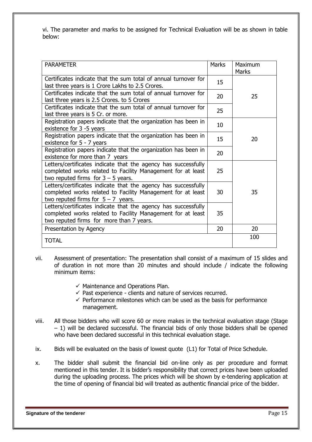vi. The parameter and marks to be assigned for Technical Evaluation will be as shown in table below:

| <b>PARAMETER</b>                                                                                                                                                          | <b>Marks</b> | Maximum<br><b>Marks</b> |
|---------------------------------------------------------------------------------------------------------------------------------------------------------------------------|--------------|-------------------------|
| Certificates indicate that the sum total of annual turnover for<br>last three years is 1 Crore Lakhs to 2.5 Crores.                                                       | 15           |                         |
| Certificates indicate that the sum total of annual turnover for<br>last three years is 2.5 Crores. to 5 Crores                                                            | 20           | 25                      |
| Certificates indicate that the sum total of annual turnover for<br>last three years is 5 Cr. or more.                                                                     | 25           |                         |
| Registration papers indicate that the organization has been in<br>existence for 3 -5 years                                                                                | 10           |                         |
| Registration papers indicate that the organization has been in<br>existence for 5 - 7 years                                                                               | 15           | 20                      |
| Registration papers indicate that the organization has been in<br>existence for more than 7 years                                                                         | 20           |                         |
| Letters/certificates indicate that the agency has successfully<br>completed works related to Facility Management for at least<br>two reputed firms for $3 - 5$ years.     | 25           |                         |
| Letters/certificates indicate that the agency has successfully<br>completed works related to Facility Management for at least<br>two reputed firms for $5 - 7$ years.     | 30           | 35                      |
| Letters/certificates indicate that the agency has successfully<br>completed works related to Facility Management for at least<br>two reputed firms for more than 7 years. | 35           |                         |
| Presentation by Agency                                                                                                                                                    | 20           | 20                      |
| <b>TOTAL</b>                                                                                                                                                              |              | 100                     |

- vii. Assessment of presentation: The presentation shall consist of a maximum of 15 slides and of duration in not more than 20 minutes and should include / indicate the following minimum items:
	- $\checkmark$  Maintenance and Operations Plan.
	- $\checkmark$  Past experience clients and nature of services recurred.
	- $\checkmark$  Performance milestones which can be used as the basis for performance management.
- viii. All those bidders who will score 60 or more makes in the technical evaluation stage (Stage – 1) will be declared successful. The financial bids of only those bidders shall be opened who have been declared successful in this technical evaluation stage.
- ix. Bids will be evaluated on the basis of lowest quote (L1) for Total of Price Schedule.
- x. The bidder shall submit the financial bid on-line only as per procedure and format mentioned in this tender. It is bidder's responsibility that correct prices have been uploaded during the uploading process. The prices which will be shown by e-tendering application at the time of opening of financial bid will treated as authentic financial price of the bidder.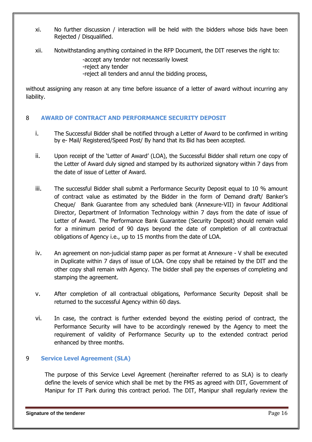- xi. No further discussion / interaction will be held with the bidders whose bids have been Rejected / Disqualified.
- xii. Notwithstanding anything contained in the RFP Document, the DIT reserves the right to:

-accept any tender not necessarily lowest

- -reject any tender
- -reject all tenders and annul the bidding process,

without assigning any reason at any time before issuance of a letter of award without incurring any liability.

### 8 **AWARD OF CONTRACT AND PERFORMANCE SECURITY DEPOSIT**

- i. The Successful Bidder shall be notified through a Letter of Award to be confirmed in writing by e- Mail/ Registered/Speed Post/ By hand that its Bid has been accepted.
- ii. Upon receipt of the 'Letter of Award' (LOA), the Successful Bidder shall return one copy of the Letter of Award duly signed and stamped by its authorized signatory within 7 days from the date of issue of Letter of Award.
- iii. The successful Bidder shall submit a Performance Security Deposit equal to 10 % amount of contract value as estimated by the Bidder in the form of Demand draft/ Banker's Cheque/ Bank Guarantee from any scheduled bank (Annexure-VII) in favour Additional Director, Department of Information Technology within 7 days from the date of issue of Letter of Award. The Performance Bank Guarantee (Security Deposit) should remain valid for a minimum period of 90 days beyond the date of completion of all contractual obligations of Agency i.e., up to 15 months from the date of LOA.
- iv. An agreement on non-judicial stamp paper as per format at Annexure V shall be executed in Duplicate within 7 days of issue of LOA. One copy shall be retained by the DIT and the other copy shall remain with Agency. The bidder shall pay the expenses of completing and stamping the agreement.
- v. After completion of all contractual obligations, Performance Security Deposit shall be returned to the successful Agency within 60 days.
- vi. In case, the contract is further extended beyond the existing period of contract, the Performance Security will have to be accordingly renewed by the Agency to meet the requirement of validity of Performance Security up to the extended contract period enhanced by three months.

### 9 **Service Level Agreement (SLA)**

The purpose of this Service Level Agreement (hereinafter referred to as SLA) is to clearly define the levels of service which shall be met by the FMS as agreed with DIT, Government of Manipur for IT Park during this contract period. The DIT, Manipur shall regularly review the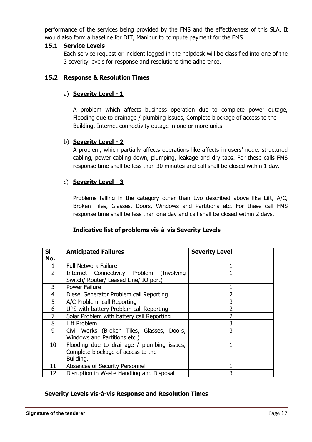performance of the services being provided by the FMS and the effectiveness of this SLA. It would also form a baseline for DIT, Manipur to compute payment for the FMS.

### **15.1 Service Levels**

Each service request or incident logged in the helpdesk will be classified into one of the 3 severity levels for response and resolutions time adherence.

## **15.2 Response & Resolution Times**

## a) **Severity Level - 1**

A problem which affects business operation due to complete power outage, Flooding due to drainage / plumbing issues, Complete blockage of access to the Building, Internet connectivity outage in one or more units.

## b) **Severity Level - 2**

A problem, which partially affects operations like affects in users' node, structured cabling, power cabling down, plumping, leakage and dry taps. For these calls FMS response time shall be less than 30 minutes and call shall be closed within 1 day.

## c) **Severity Level - 3**

Problems falling in the category other than two described above like Lift, A/C, Broken Tiles, Glasses, Doors, Windows and Partitions etc. For these call FMS response time shall be less than one day and call shall be closed within 2 days.

## **Indicative list of problems vis-à-vis Severity Levels**

| <b>SI</b>      | <b>Anticipated Failures</b>                 | <b>Severity Level</b> |
|----------------|---------------------------------------------|-----------------------|
| No.            |                                             |                       |
|                | <b>Full Network Failure</b>                 |                       |
| $\overline{2}$ | Internet Connectivity Problem (Involving    |                       |
|                | Switch/ Router/ Leased Line/ IO port)       |                       |
| 3              | <b>Power Failure</b>                        |                       |
| 4              | Diesel Generator Problem call Reporting     |                       |
| 5              | A/C Problem call Reporting                  | 3                     |
| 6              | UPS with battery Problem call Reporting     |                       |
|                | Solar Problem with battery call Reporting   |                       |
| 8              | Lift Problem                                | 3                     |
| 9              | Civil Works (Broken Tiles, Glasses, Doors,  | 3                     |
|                | Windows and Partitions etc.)                |                       |
| 10             | Flooding due to drainage / plumbing issues, |                       |
|                | Complete blockage of access to the          |                       |
|                | Building.                                   |                       |
| 11             | Absences of Security Personnel              |                       |
| 12             | Disruption in Waste Handling and Disposal   | 3                     |

### **Severity Levels vis-à-vis Response and Resolution Times**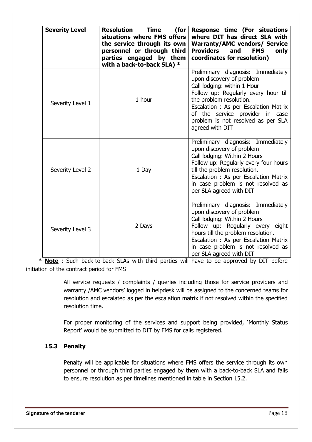| <b>Severity Level</b> | <b>Resolution Time</b><br>(for<br>situations where FMS offers<br>the service through its own<br>personnel or through third<br>parties engaged by them<br>with a back-to-back SLA) * | Response time (For situations<br>where DIT has direct SLA with<br><b>Warranty/AMC vendors/ Service</b><br><b>Providers</b><br><b>FMS</b><br>and<br>only<br>coordinates for resolution)                                                                                                                 |
|-----------------------|-------------------------------------------------------------------------------------------------------------------------------------------------------------------------------------|--------------------------------------------------------------------------------------------------------------------------------------------------------------------------------------------------------------------------------------------------------------------------------------------------------|
| Severity Level 1      | 1 hour                                                                                                                                                                              | Preliminary diagnosis: Immediately<br>upon discovery of problem<br>Call lodging: within 1 Hour<br>Follow up: Regularly every hour till<br>the problem resolution.<br>Escalation : As per Escalation Matrix<br>of the service provider in case<br>problem is not resolved as per SLA<br>agreed with DIT |
| Severity Level 2      | 1 Day                                                                                                                                                                               | Preliminary diagnosis: Immediately<br>upon discovery of problem<br>Call lodging: Within 2 Hours<br>Follow up: Regularly every four hours<br>till the problem resolution.<br>Escalation : As per Escalation Matrix<br>in case problem is not resolved as<br>per SLA agreed with DIT                     |
| Severity Level 3      | 2 Days                                                                                                                                                                              | Preliminary diagnosis: Immediately<br>upon discovery of problem<br>Call lodging: Within 2 Hours<br>Follow up: Regularly every eight<br>hours till the problem resolution.<br>Escalation : As per Escalation Matrix<br>in case problem is not resolved as<br>per SLA agreed with DIT                    |

 \* **Note** : Such back-to-back SLAs with third parties will have to be approved by DIT before initiation of the contract period for FMS

> All service requests / complaints / queries including those for service providers and warranty /AMC vendors' logged in helpdesk will be assigned to the concerned teams for resolution and escalated as per the escalation matrix if not resolved within the specified resolution time.

> For proper monitoring of the services and support being provided, 'Monthly Status Report' would be submitted to DIT by FMS for calls registered.

## **15.3 Penalty**

Penalty will be applicable for situations where FMS offers the service through its own personnel or through third parties engaged by them with a back-to-back SLA and fails to ensure resolution as per timelines mentioned in table in Section 15.2.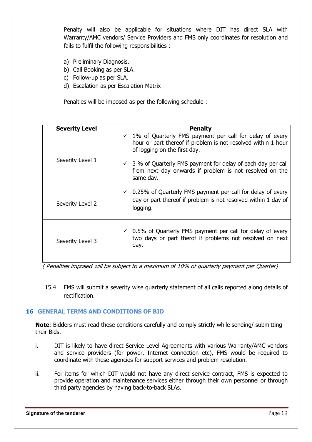Penalty will also be applicable for situations where DIT has direct SLA with Warranty/AMC vendors/ Service Providers and FMS only coordinates for resolution and fails to fulfil the following responsibilities :

- a) Preliminary Diagnosis.
- b) Call Booking as per SLA.
- c) Follow-up as per SLA.
- d) Escalation as per Escalation Matrix

Penalties will be imposed as per the following schedule :

| <b>Severity Level</b> | <b>Penalty</b>                                                                                                                                                        |
|-----------------------|-----------------------------------------------------------------------------------------------------------------------------------------------------------------------|
|                       | $\checkmark$ 1% of Quarterly FMS payment per call for delay of every<br>hour or part thereof if problem is not resolved within 1 hour<br>of logging on the first day. |
| Severity Level 1      | $\checkmark$ 3 % of Quarterly FMS payment for delay of each day per call<br>from next day onwards if problem is not resolved on the<br>same day.                      |
| Severity Level 2      | $\checkmark$ 0.25% of Quarterly FMS payment per call for delay of every<br>day or part thereof if problem is not resolved within 1 day of<br>logging.                 |
| Severity Level 3      | $\checkmark$ 0.5% of Quarterly FMS payment per call for delay of every<br>two days or part therof if problems not resolved on next<br>day.                            |

( Penalties imposed will be subject to a maximum of 10% of quarterly payment per Quarter)

15.4 FMS will submit a severity wise quarterly statement of all calls reported along details of rectification.

### **16 GENERAL TERMS AND CONDITIONS OF BID**

**Note**: Bidders must read these conditions carefully and comply strictly while sending/ submitting their Bids.

- i. DIT is likely to have direct Service Level Agreements with various Warranty/AMC vendors and service providers (for power, Internet connection etc), FMS would be required to coordinate with these agencies for support services and problem resolution.
- ii. For items for which DIT would not have any direct service contract, FMS is expected to provide operation and maintenance services either through their own personnel or through third party agencies by having back-to-back SLAs.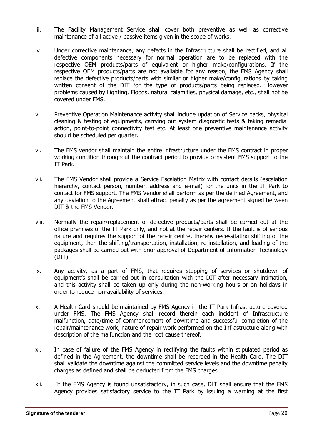- iii. The Facility Management Service shall cover both preventive as well as corrective maintenance of all active / passive items given in the scope of works.
- iv. Under corrective maintenance, any defects in the Infrastructure shall be rectified, and all defective components necessary for normal operation are to be replaced with the respective OEM products/parts of equivalent or higher make/configurations. If the respective OEM products/parts are not available for any reason, the FMS Agency shall replace the defective products/parts with similar or higher make/configurations by taking written consent of the DIT for the type of products/parts being replaced. However problems caused by Lighting, Floods, natural calamities, physical damage, etc., shall not be covered under FMS.
- v. Preventive Operation Maintenance activity shall include updation of Service packs, physical cleaning & testing of equipments, carrying out system diagnostic tests & taking remedial action, point-to-point connectivity test etc. At least one preventive maintenance activity should be scheduled per quarter.
- vi. The FMS vendor shall maintain the entire infrastructure under the FMS contract in proper working condition throughout the contract period to provide consistent FMS support to the IT Park.
- vii. The FMS Vendor shall provide a Service Escalation Matrix with contact details (escalation hierarchy, contact person, number, address and e-mail) for the units in the IT Park to contact for FMS support. The FMS Vendor shall perform as per the defined Agreement, and any deviation to the Agreement shall attract penalty as per the agreement signed between DIT & the FMS Vendor.
- viii. Normally the repair/replacement of defective products/parts shall be carried out at the office premises of the IT Park only, and not at the repair centers. If the fault is of serious nature and requires the support of the repair centre, thereby necessitating shifting of the equipment, then the shifting/transportation, installation, re-installation, and loading of the packages shall be carried out with prior approval of Department of Information Technology (DIT).
- ix. Any activity, as a part of FMS, that requires stopping of services or shutdown of equipment's shall be carried out in consultation with the DIT after necessary intimation, and this activity shall be taken up only during the non-working hours or on holidays in order to reduce non-availability of services.
- x. A Health Card should be maintained by FMS Agency in the IT Park Infrastructure covered under FMS. The FMS Agency shall record therein each incident of Infrastructure malfunction, date/time of commencement of downtime and successful completion of the repair/maintenance work, nature of repair work performed on the Infrastructure along with description of the malfunction and the root cause thereof.
- xi. In case of failure of the FMS Agency in rectifying the faults within stipulated period as defined in the Agreement, the downtime shall be recorded in the Health Card. The DIT shall validate the downtime against the committed service levels and the downtime penalty charges as defined and shall be deducted from the FMS charges.
- xii. If the FMS Agency is found unsatisfactory, in such case, DIT shall ensure that the FMS Agency provides satisfactory service to the IT Park by issuing a warning at the first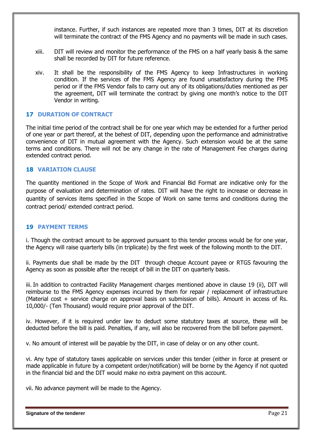instance. Further, if such instances are repeated more than 3 times, DIT at its discretion will terminate the contract of the FMS Agency and no payments will be made in such cases.

- xiii. DIT will review and monitor the performance of the FMS on a half yearly basis & the same shall be recorded by DIT for future reference.
- xiv. It shall be the responsibility of the FMS Agency to keep Infrastructures in working condition. If the services of the FMS Agency are found unsatisfactory during the FMS period or if the FMS Vendor fails to carry out any of its obligations/duties mentioned as per the agreement, DIT will terminate the contract by giving one month's notice to the DIT Vendor in writing.

#### **17 DURATION OF CONTRACT**

The initial time period of the contract shall be for one year which may be extended for a further period of one year or part thereof, at the behest of DIT, depending upon the performance and administrative convenience of DIT in mutual agreement with the Agency. Such extension would be at the same terms and conditions. There will not be any change in the rate of Management Fee charges during extended contract period.

#### **18 VARIATION CLAUSE**

The quantity mentioned in the Scope of Work and Financial Bid Format are indicative only for the purpose of evaluation and determination of rates. DIT will have the right to increase or decrease in quantity of services items specified in the Scope of Work on same terms and conditions during the contract period/ extended contract period.

#### **19 PAYMENT TERMS**

i. Though the contract amount to be approved pursuant to this tender process would be for one year, the Agency will raise quarterly bills (in triplicate) by the first week of the following month to the DIT.

ii. Payments due shall be made by the DIT through cheque Account payee or RTGS favouring the Agency as soon as possible after the receipt of bill in the DIT on quarterly basis.

iii. In addition to contracted Facility Management charges mentioned above in clause 19 (ii), DIT will reimburse to the FMS Agency expenses incurred by them for repair / replacement of infrastructure (Material cost + service charge on approval basis on submission of bills). Amount in access of Rs. 10,000/- (Ten Thousand) would require prior approval of the DIT.

iv. However, if it is required under law to deduct some statutory taxes at source, these will be deducted before the bill is paid. Penalties, if any, will also be recovered from the bill before payment.

v. No amount of interest will be payable by the DIT, in case of delay or on any other count.

vi. Any type of statutory taxes applicable on services under this tender (either in force at present or made applicable in future by a competent order/notification) will be borne by the Agency if not quoted in the financial bid and the DIT would make no extra payment on this account.

vii. No advance payment will be made to the Agency.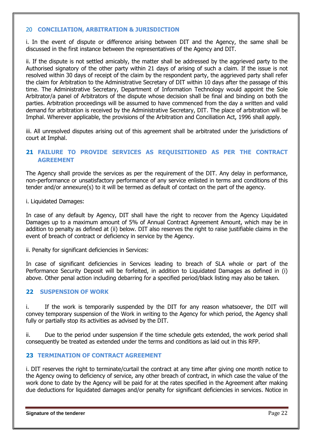#### 20 **CONCILIATION, ARBITRATION & JURISDICTION**

i. In the event of dispute or difference arising between DIT and the Agency, the same shall be discussed in the first instance between the representatives of the Agency and DIT.

ii. If the dispute is not settled amicably, the matter shall be addressed by the aggrieved party to the Authorised signatory of the other party within 21 days of arising of such a claim. If the issue is not resolved within 30 days of receipt of the claim by the respondent party, the aggrieved party shall refer the claim for Arbitration to the Administrative Secretary of DIT within 10 days after the passage of this time. The Administrative Secretary, Department of Information Technology would appoint the Sole Arbitrator/a panel of Arbitrators of the dispute whose decision shall be final and binding on both the parties. Arbitration proceedings will be assumed to have commenced from the day a written and valid demand for arbitration is received by the Administrative Secretary, DIT. The place of arbitration will be Imphal. Wherever applicable, the provisions of the Arbitration and Conciliation Act, 1996 shall apply.

iii. All unresolved disputes arising out of this agreement shall be arbitrated under the jurisdictions of court at Imphal.

### **21 FAILURE TO PROVIDE SERVICES AS REQUISITIONED AS PER THE CONTRACT AGREEMENT**

The Agency shall provide the services as per the requirement of the DIT. Any delay in performance, non-performance or unsatisfactory performance of any service enlisted in terms and conditions of this tender and/or annexure(s) to it will be termed as default of contact on the part of the agency.

i. Liquidated Damages:

In case of any default by Agency, DIT shall have the right to recover from the Agency Liquidated Damages up to a maximum amount of 5% of Annual Contract Agreement Amount, which may be in addition to penalty as defined at (ii) below. DIT also reserves the right to raise justifiable claims in the event of breach of contract or deficiency in service by the Agency.

ii. Penalty for significant deficiencies in Services:

In case of significant deficiencies in Services leading to breach of SLA whole or part of the Performance Security Deposit will be forfeited, in addition to Liquidated Damages as defined in (i) above. Other penal action including debarring for a specified period/black listing may also be taken.

### **22 SUSPENSION OF WORK**

i. If the work is temporarily suspended by the DIT for any reason whatsoever, the DIT will convey temporary suspension of the Work in writing to the Agency for which period, the Agency shall fully or partially stop its activities as advised by the DIT.

ii. Due to the period under suspension if the time schedule gets extended, the work period shall consequently be treated as extended under the terms and conditions as laid out in this RFP.

#### **23 TERMINATION OF CONTRACT AGREEMENT**

i. DIT reserves the right to terminate/curtail the contract at any time after giving one month notice to the Agency owing to deficiency of service, any other breach of contract, in which case the value of the work done to date by the Agency will be paid for at the rates specified in the Agreement after making due deductions for liquidated damages and/or penalty for significant deficiencies in services. Notice in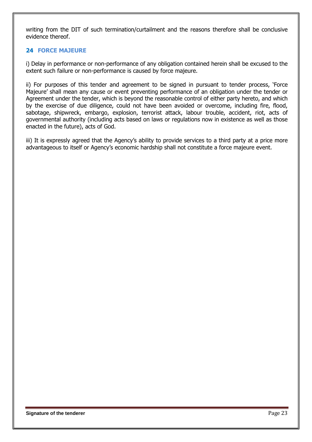writing from the DIT of such termination/curtailment and the reasons therefore shall be conclusive evidence thereof.

### **24 FORCE MAJEURE**

i) Delay in performance or non-performance of any obligation contained herein shall be excused to the extent such failure or non-performance is caused by force majeure.

ii) For purposes of this tender and agreement to be signed in pursuant to tender process, 'Force Majeure' shall mean any cause or event preventing performance of an obligation under the tender or Agreement under the tender, which is beyond the reasonable control of either party hereto, and which by the exercise of due diligence, could not have been avoided or overcome, including fire, flood, sabotage, shipwreck, embargo, explosion, terrorist attack, labour trouble, accident, riot, acts of governmental authority (including acts based on laws or regulations now in existence as well as those enacted in the future), acts of God.

iii) It is expressly agreed that the Agency's ability to provide services to a third party at a price more advantageous to itself or Agency's economic hardship shall not constitute a force majeure event.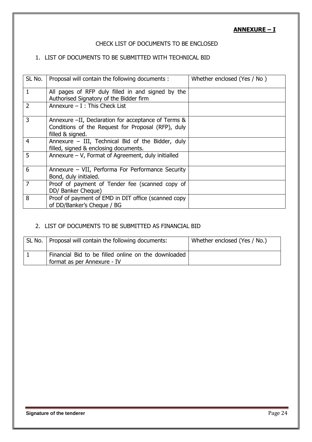**ANNEXURE – I**

### CHECK LIST OF DOCUMENTS TO BE ENCLOSED

## 1. LIST OF DOCUMENTS TO BE SUBMITTED WITH TECHNICAL BID

| SL No.         | Proposal will contain the following documents:                                                                                | Whether enclosed (Yes / No) |
|----------------|-------------------------------------------------------------------------------------------------------------------------------|-----------------------------|
| $\mathbf{1}$   | All pages of RFP duly filled in and signed by the<br>Authorised Signatory of the Bidder firm                                  |                             |
| $\overline{2}$ | Annexure $- I$ : This Check List                                                                                              |                             |
| $\overline{3}$ | Annexure -II, Declaration for acceptance of Terms &<br>Conditions of the Request for Proposal (RFP), duly<br>filled & signed. |                             |
| 4              | Annexure $-$ III, Technical Bid of the Bidder, duly<br>filled, signed & enclosing documents.                                  |                             |
| 5              | Annexure $-$ V, Format of Agreement, duly initialled                                                                          |                             |
| 6              | Annexure - VII, Performa For Performance Security<br>Bond, duly initialed.                                                    |                             |
| $\overline{7}$ | Proof of payment of Tender fee (scanned copy of<br>DD/ Banker Cheque)                                                         |                             |
| 8              | Proof of payment of EMD in DIT office (scanned copy<br>of DD/Banker's Cheque / BG                                             |                             |

## 2. LIST OF DOCUMENTS TO BE SUBMITTED AS FINANCIAL BID

| SL No.   Proposal will contain the following documents:                            | Whether enclosed (Yes / No.) |
|------------------------------------------------------------------------------------|------------------------------|
| Financial Bid to be filled online on the downloaded<br>format as per Annexure - IV |                              |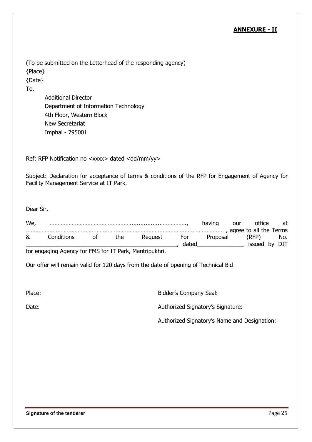### **ANNEXURE - II**

(To be submitted on the Letterhead of the responding agency) {Place} {Date}

To,

Additional Director Department of Information Technology 4th Floor, Western Block New Secretariat Imphal - 795001

Ref: RFP Notification no <xxxx> dated <dd/mm/yy>

Subject: Declaration for acceptance of terms & conditions of the RFP for Engagement of Agency for Facility Management Service at IT Park.

Dear Sir,

| We, |                                                                 |    |     |         |       | having                                         | our | office        | at  |
|-----|-----------------------------------------------------------------|----|-----|---------|-------|------------------------------------------------|-----|---------------|-----|
|     |                                                                 |    |     |         |       |                                                |     |               |     |
| &   | Conditions                                                      | ∩t | the | Reauest | For   | Proposal                                       |     | (RFP)         | No. |
|     |                                                                 |    |     |         | dated | <u> The Communication of the Communication</u> |     | issued by DIT |     |
|     | few cases then Associated for FMC few IT Double Membrison liked |    |     |         |       |                                                |     |               |     |

for engaging Agency for FMS for IT Park, Mantripukhri.

Our offer will remain valid for 120 days from the date of opening of Technical Bid

Place: Bidder's Company Seal:

Date: Date: **Authorized Signatory's Signature:** 

Authorized Signatory's Name and Designation: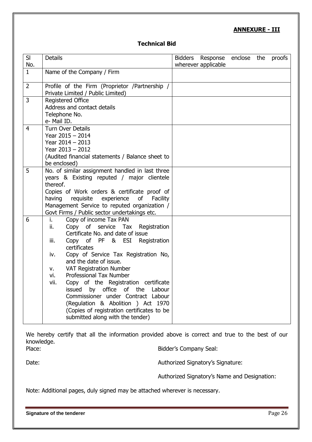## **ANNEXURE - III**

#### **Technical Bid**

| SI<br>No.      | <b>Details</b>                                                                                                                                                                                                                                                                                                                                                                                                                                                                                                                                                           | Bidders Response enclose the<br>proofs<br>wherever applicable |
|----------------|--------------------------------------------------------------------------------------------------------------------------------------------------------------------------------------------------------------------------------------------------------------------------------------------------------------------------------------------------------------------------------------------------------------------------------------------------------------------------------------------------------------------------------------------------------------------------|---------------------------------------------------------------|
| $\mathbf{1}$   | Name of the Company / Firm                                                                                                                                                                                                                                                                                                                                                                                                                                                                                                                                               |                                                               |
| $\overline{2}$ | Profile of the Firm (Proprietor /Partnership /<br>Private Limited / Public Limited)                                                                                                                                                                                                                                                                                                                                                                                                                                                                                      |                                                               |
| $\overline{3}$ | <b>Registered Office</b><br>Address and contact details<br>Telephone No.<br>e- Mail ID.                                                                                                                                                                                                                                                                                                                                                                                                                                                                                  |                                                               |
| $\overline{4}$ | <b>Turn Over Details</b><br>Year 2015 - 2014<br>Year $2014 - 2013$<br>Year 2013 - 2012<br>(Audited financial statements / Balance sheet to<br>be enclosed)                                                                                                                                                                                                                                                                                                                                                                                                               |                                                               |
| 5              | No. of similar assignment handled in last three<br>years & Existing reputed / major clientele<br>thereof.<br>Copies of Work orders & certificate proof of<br>having<br>requisite<br>experience<br><b>of</b><br>Facility<br>Management Service to reputed organization /<br>Govt Firms / Public sector undertakings etc.                                                                                                                                                                                                                                                  |                                                               |
| 6              | Copy of income Tax PAN<br>i.<br>Copy of service Tax Registration<br>ii.<br>Certificate No. and date of issue<br>Copy of PF & ESI Registration<br>iii.<br>certificates<br>Copy of Service Tax Registration No,<br>iv.<br>and the date of issue.<br><b>VAT Registration Number</b><br>ν.<br>Professional Tax Number<br>vi.<br>Copy of the Registration certificate<br>vii.<br>issued by office of the Labour<br>Commissioner under Contract Labour<br>(Regulation & Abolition ) Act 1970<br>(Copies of registration certificates to be<br>submitted along with the tender) |                                                               |

We hereby certify that all the information provided above is correct and true to the best of our knowledge. Place: Place: Bidder's Company Seal:

Date: Date: **Authorized Signatory's Signature:** 

Authorized Signatory's Name and Designation:

Note: Additional pages, duly signed may be attached wherever is necessary.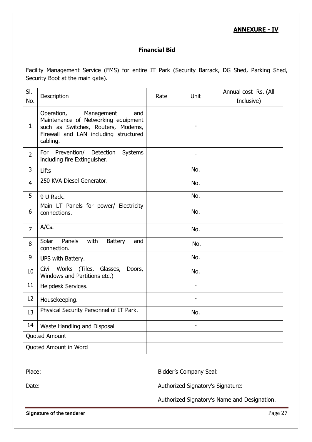## **ANNEXURE - IV**

## **Financial Bid**

Facility Management Service (FMS) for entire IT Park (Security Barrack, DG Shed, Parking Shed, Security Boot at the main gate).

| $\overline{SI}$       | Description                                                                                                                                                       | Rate | <b>Unit</b> | Annual cost Rs. (All |
|-----------------------|-------------------------------------------------------------------------------------------------------------------------------------------------------------------|------|-------------|----------------------|
| No.                   |                                                                                                                                                                   |      |             | Inclusive)           |
| $\mathbf{1}$          | Operation,<br>Management<br>and<br>Maintenance of Networking equipment<br>such as Switches, Routers, Modems,<br>Firewall and LAN including structured<br>cabling. |      |             |                      |
| $\overline{2}$        | Prevention/<br>For<br>Detection<br><b>Systems</b><br>including fire Extinguisher.                                                                                 |      |             |                      |
| 3                     | Lifts                                                                                                                                                             |      | No.         |                      |
| $\overline{4}$        | 250 KVA Diesel Generator.                                                                                                                                         |      | No.         |                      |
| 5                     | 9 U Rack.                                                                                                                                                         |      | No.         |                      |
| 6                     | Main LT Panels for power/ Electricity<br>connections.                                                                                                             |      | No.         |                      |
| $\overline{7}$        | A/Cs.                                                                                                                                                             |      | No.         |                      |
| 8                     | Solar<br>Panels<br>with<br><b>Battery</b><br>and<br>connection.                                                                                                   |      | No.         |                      |
| 9                     | UPS with Battery.                                                                                                                                                 |      | No.         |                      |
| 10                    | Civil Works (Tiles, Glasses,<br>Doors,<br>Windows and Partitions etc.)                                                                                            |      | No.         |                      |
| 11                    | Helpdesk Services.                                                                                                                                                |      |             |                      |
| 12                    | Housekeeping.                                                                                                                                                     |      |             |                      |
| 13                    | Physical Security Personnel of IT Park.                                                                                                                           |      | No.         |                      |
| 14                    | Waste Handling and Disposal                                                                                                                                       |      | ÷,          |                      |
| <b>Quoted Amount</b>  |                                                                                                                                                                   |      |             |                      |
| Quoted Amount in Word |                                                                                                                                                                   |      |             |                      |

Place: **Bidder's Company Seal:** 

Date: Date: **Authorized Signatory's Signature:** 

Authorized Signatory's Name and Designation.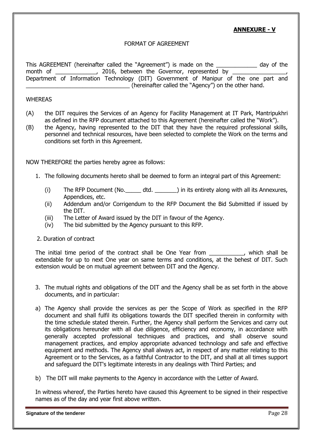## **ANNEXURE - V**

#### FORMAT OF AGREEMENT

This AGREEMENT (hereinafter called the "Agreement") is made on the \_\_\_\_\_\_\_\_\_\_\_\_\_ day of the month of \_\_\_\_\_\_\_\_\_\_\_\_\_\_, 2016, between the Governor, represented by Department of Information Technology (DIT) Government of Manipur of the one part and \_\_\_\_\_\_\_\_\_\_\_\_\_\_\_\_\_\_\_\_\_\_\_\_\_\_\_\_\_\_\_\_\_ (hereinafter called the "Agency") on the other hand.

#### **WHEREAS**

- (A) the DIT requires the Services of an Agency for Facility Management at IT Park, Mantripukhri as defined in the RFP document attached to this Agreement (hereinafter called the "Work").
- (B) the Agency, having represented to the DIT that they have the required professional skills, personnel and technical resources, have been selected to complete the Work on the terms and conditions set forth in this Agreement.

NOW THEREFORE the parties hereby agree as follows:

- 1. The following documents hereto shall be deemed to form an integral part of this Agreement:
	- (i) The RFP Document (No.\_\_\_\_\_ dtd. \_\_\_\_\_\_\_) in its entirety along with all its Annexures, Appendices, etc.
	- (ii) Addendum and/or Corrigendum to the RFP Document the Bid Submitted if issued by the DIT.
	- (iii) The Letter of Award issued by the DIT in favour of the Agency.
	- (iv) The bid submitted by the Agency pursuant to this RFP.
- 2. Duration of contract

The initial time period of the contract shall be One Year from \_\_\_\_\_\_\_\_\_\_, which shall be extendable for up to next One year on same terms and conditions, at the behest of DIT. Such extension would be on mutual agreement between DIT and the Agency.

- 3. The mutual rights and obligations of the DIT and the Agency shall be as set forth in the above documents, and in particular:
- a) The Agency shall provide the services as per the Scope of Work as specified in the RFP document and shall fulfil its obligations towards the DIT specified therein in conformity with the time schedule stated therein. Further, the Agency shall perform the Services and carry out its obligations hereunder with all due diligence, efficiency and economy, in accordance with generally accepted professional techniques and practices, and shall observe sound management practices, and employ appropriate advanced technology and safe and effective equipment and methods. The Agency shall always act, in respect of any matter relating to this Agreement or to the Services, as a faithful Contractor to the DIT, and shall at all times support and safeguard the DIT's legitimate interests in any dealings with Third Parties; and
- b) The DIT will make payments to the Agency in accordance with the Letter of Award.

In witness whereof, the Parties hereto have caused this Agreement to be signed in their respective names as of the day and year first above written.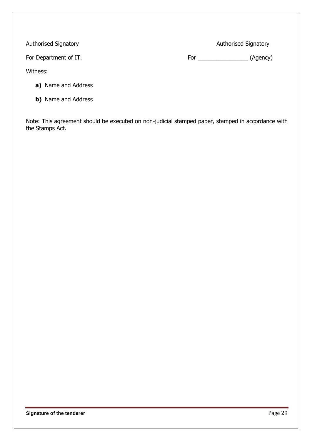Authorised Signatory **Authorised Signatory Authorised Signatory** 

For Department of IT. The same state of the set of the set of the set of the set of the set of the set of the set of the set of the set of the set of the set of the set of the set of the set of the set of the set of the se

Witness:

**a)** Name and Address

- 
- **b)** Name and Address

Note: This agreement should be executed on non-judicial stamped paper, stamped in accordance with the Stamps Act.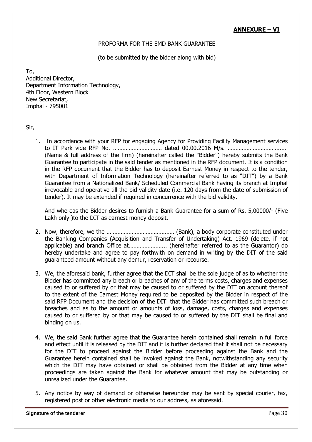## **ANNEXURE – VI**

#### PROFORMA FOR THE EMD BANK GUARANTEE

(to be submitted by the bidder along with bid)

To, Additional Director, Department Information Technology, 4th Floor, Western Block New Secretariat, Imphal - 795001

Sir,

1. In accordance with your RFP for engaging Agency for Providing Facility Management services to IT Park vide RFP No. …………………………. dated 00.00.2016 M/s. ……………………………..… (Name & full address of the firm) (hereinafter called the "Bidder") hereby submits the Bank Guarantee to participate in the said tender as mentioned in the RFP document. It is a condition in the RFP document that the Bidder has to deposit Earnest Money in respect to the tender, with Department of Information Technology (hereinafter referred to as "DIT") by a Bank Guarantee from a Nationalized Bank/ Scheduled Commercial Bank having its branch at Imphal irrevocable and operative till the bid validity date (i.e. 120 days from the date of submission of tender). It may be extended if required in concurrence with the bid validity.

And whereas the Bidder desires to furnish a Bank Guarantee for a sum of Rs. 5,00000/- (Five Lakh only )to the DIT as earnest money deposit.

- 2. Now, therefore, we the ……………………………….…… (Bank), a body corporate constituted under the Banking Companies (Acquisition and Transfer of Undertaking) Act. 1969 (delete, if not applicable) and branch Office at…………………... (hereinafter referred to as the Guarantor) do hereby undertake and agree to pay forthwith on demand in writing by the DIT of the said guaranteed amount without any demur, reservation or recourse.
- 3. We, the aforesaid bank, further agree that the DIT shall be the sole judge of as to whether the Bidder has committed any breach or breaches of any of the terms costs, charges and expenses caused to or suffered by or that may be caused to or suffered by the DIT on account thereof to the extent of the Earnest Money required to be deposited by the Bidder in respect of the said RFP Document and the decision of the DIT that the Bidder has committed such breach or breaches and as to the amount or amounts of loss, damage, costs, charges and expenses caused to or suffered by or that may be caused to or suffered by the DIT shall be final and binding on us.
- 4. We, the said Bank further agree that the Guarantee herein contained shall remain in full force and effect until it is released by the DIT and it is further declared that it shall not be necessary for the DIT to proceed against the Bidder before proceeding against the Bank and the Guarantee herein contained shall be invoked against the Bank, notwithstanding any security which the DIT may have obtained or shall be obtained from the Bidder at any time when proceedings are taken against the Bank for whatever amount that may be outstanding or unrealized under the Guarantee.
- 5. Any notice by way of demand or otherwise hereunder may be sent by special courier, fax, registered post or other electronic media to our address, as aforesaid.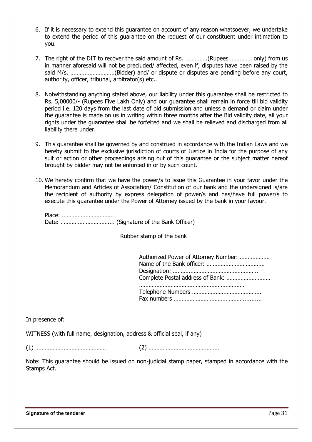- 6. If it is necessary to extend this guarantee on account of any reason whatsoever, we undertake to extend the period of this guarantee on the request of our constituent under intimation to you.
- 7. The right of the DIT to recover the said amount of Rs. ………….(Rupees ……………only) from us in manner aforesaid will not be precluded/ affected, even if, disputes have been raised by the said M/s. ……….………………(Bidder) and/ or dispute or disputes are pending before any court, authority, officer, tribunal, arbitrator(s) etc..
- 8. Notwithstanding anything stated above, our liability under this guarantee shall be restricted to Rs. 5,00000/- (Rupees Five Lakh Only) and our guarantee shall remain in force till bid validity period i.e. 120 days from the last date of bid submission and unless a demand or claim under the guarantee is made on us in writing within three months after the Bid validity date, all your rights under the guarantee shall be forfeited and we shall be relieved and discharged from all liability there under.
- 9. This guarantee shall be governed by and construed in accordance with the Indian Laws and we hereby submit to the exclusive jurisdiction of courts of Justice in India for the purpose of any suit or action or other proceedings arising out of this guarantee or the subject matter hereof brought by bidder may not be enforced in or by such count.
- 10. We hereby confirm that we have the power/s to issue this Guarantee in your favor under the Memorandum and Articles of Association/ Constitution of our bank and the undersigned is/are the recipient of authority by express delegation of power/s and has/have full power/s to execute this guarantee under the Power of Attorney issued by the bank in your favour.

Rubber stamp of the bank

| Authorized Power of Attorney Number: |
|--------------------------------------|
| Complete Postal address of Bank:     |
|                                      |

In presence of:

WITNESS (with full name, designation, address & official seal, if any)

(1) ……………………………………… (2) ………………………………………

Note: This guarantee should be issued on non-judicial stamp paper, stamped in accordance with the Stamps Act.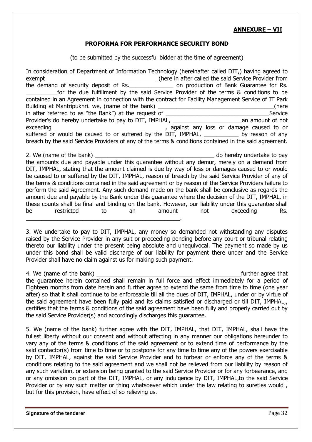### **ANNEXURE – VII**

#### **PROFORMA FOR PERFORMANCE SECURITY BOND**

(to be submitted by the successful bidder at the time of agreement)

In consideration of Department of Information Technology (hereinafter called DIT,) having agreed to exempt \_\_\_\_\_\_\_\_\_\_\_\_\_\_\_\_\_\_\_\_\_\_\_\_\_\_\_\_\_\_\_\_\_\_\_ (here in after called the said Service Provider from the demand of Bank Guarantee for Rs. for the due fulfillment by the said Service Provider of the terms & conditions to be contained in an Agreement in connection with the contract for Facility Management Service of IT Park Building at Mantripukhri. we, (name of the bank) **Example 2** (here in after referred to as "the Bank") at the request of \_\_\_\_\_\_\_\_\_\_\_\_\_\_\_\_\_\_\_\_\_\_\_\_\_\_\_\_\_\_\_\_\_Service Provider's do hereby undertake to pay to DIT, IMPHAL, and an amount of not exceeding \_\_\_\_\_\_\_\_\_\_\_\_\_\_\_\_\_\_\_\_\_\_\_\_\_\_\_\_\_\_\_\_\_\_\_, against any loss or damage caused to or suffered or would be caused to or suffered by the DIT, IMPHAL, \_\_\_\_\_\_\_\_\_\_\_\_ by reason of any breach by the said Service Providers of any of the terms & conditions contained in the said agreement. 2. We (name of the bank) and the state of the bank) and the state of the bank of the bank of the bank of  $\alpha$  and  $\alpha$  and  $\alpha$  and  $\alpha$  bereby undertake to pay the amounts due and payable under this guarantee without any demur, merely on a demand from

DIT, IMPHAL, stating that the amount claimed is due by way of loss or damages caused to or would be caused to or suffered by the DIT, IMPHAL, reason of breach by the said Service Provider of any of the terms & conditions contained in the said agreement or by reason of the Service Providers failure to perform the said Agreement. Any such demand made on the bank shall be conclusive as regards the amount due and payable by the Bank under this guarantee where the decision of the DIT, IMPHAL, in these counts shall be final and binding on the bank. However, our liability under this guarantee shall be restricted to an amount not exceeding Rs.

3. We undertake to pay to DIT, IMPHAL, any money so demanded not withstanding any disputes raised by the Service Provider in any suit or proceeding pending before any court or tribunal relating thereto our liability under the present being absolute and unequivocal. The payment so made by us under this bond shall be valid discharge of our liability for payment there under and the Service Provider shall have no claim against us for making such payment.

 $\mathcal{L}_\text{max}$  , and the contract of the contract of the contract of the contract of the contract of the contract of the contract of the contract of the contract of the contract of the contract of the contract of the contr

4. We (name of the bank) and the state of the bank) and the state of the state of the state of the state of the state of the state of the state of the state of the state of the state of the state of the state of the state the guarantee herein contained shall remain in full force and effect immediately for a period of Eighteen months from date herein and further agree to extend the same from time to time (one year after) so that it shall continue to be enforceable till all the dues of DIT, IMPHAL, under or by virtue of the said agreement have been fully paid and its claims satisfied or discharged or till DIT, IMPHAL,, certifies that the terms & conditions of the said agreement have been fully and properly carried out by the said Service Provider(s) and accordingly discharges this guarantee.

5. We (name of the bank) further agree with the DIT, IMPHAL, that DIT, IMPHAL, shall have the fullest liberty without our consent and without affecting in any manner our obligations hereunder to vary any of the terms & conditions of the said agreement or to extend time of performance by the said contactor(s) from time to time or to postpone for any time to time any of the powers exercisable by DIT, IMPHAL, against the said Service Provider and to forbear or enforce any of the terms & conditions relating to the said agreement and we shall not be relieved from our liability by reason of any such variation, or extension being granted to the said Service Provider or for any forbearance, and or any omission on part of the DIT, IMPHAL, or any indulgence by DIT, IMPHAL,to the said Service Provider or by any such matter or thing whatsoever which under the law relating to sureties would , but for this provision, have effect of so relieving us.